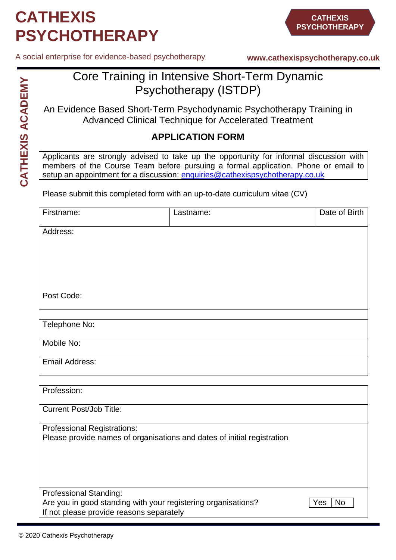# **CATHEXIS PSYCHOTHERAPY**

A social enterprise for evidence-based psychotherapy

**www.cathexispsychotherapy.co.uk**

### Core Training in Intensive Short-Term Dynamic Psychotherapy (ISTDP)

An Evidence Based Short-Term Psychodynamic Psychotherapy Training in Advanced Clinical Technique for Accelerated Treatment

#### **APPLICATION FORM**

Applicants are strongly advised to take up the opportunity for informal discussion with members of the Course Team before pursuing a formal application. Phone or email to setup an appointment for a discussion: [enquiries@cathexispsychotherapy.co.uk](mailto:enquiries@cathexispsychotherapy.co.uk)

Please submit this completed form with an up-to-date curriculum vitae (CV)

| Firstname:                                                                                                | Lastname: | Date of Birth    |
|-----------------------------------------------------------------------------------------------------------|-----------|------------------|
| Address:                                                                                                  |           |                  |
|                                                                                                           |           |                  |
|                                                                                                           |           |                  |
|                                                                                                           |           |                  |
| Post Code:                                                                                                |           |                  |
| Telephone No:                                                                                             |           |                  |
|                                                                                                           |           |                  |
| Mobile No:                                                                                                |           |                  |
| <b>Email Address:</b>                                                                                     |           |                  |
| Profession:                                                                                               |           |                  |
|                                                                                                           |           |                  |
| <b>Current Post/Job Title:</b>                                                                            |           |                  |
| <b>Professional Registrations:</b>                                                                        |           |                  |
| Please provide names of organisations and dates of initial registration                                   |           |                  |
|                                                                                                           |           |                  |
|                                                                                                           |           |                  |
| Professional Standing:                                                                                    |           |                  |
| Are you in good standing with your registering organisations?<br>If not please provide reasons separately |           | <b>No</b><br>Yes |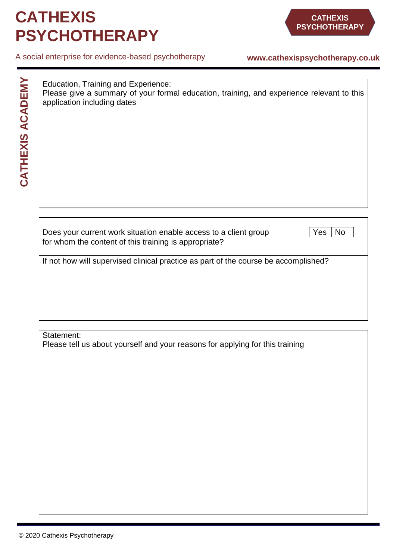### **CATHEXIS PSYCHOTHERAPY**

#### A social enterprise for evidence-based psychotherapy

#### **www.cathexispsychotherapy.co.uk**

**CATHEXIS ACADEMY CATHEXIS ACADEMY**

| Education, Training and Experience:                                                       |  |  |  |
|-------------------------------------------------------------------------------------------|--|--|--|
| Please give a summary of your formal education, training, and experience relevant to this |  |  |  |
| application including dates                                                               |  |  |  |

Does your current work situation enable access to a client group  $\sqrt{Y}$ es No for whom the content of this training is appropriate?

If not how will supervised clinical practice as part of the course be accomplished?

Statement:

Please tell us about yourself and your reasons for applying for this training